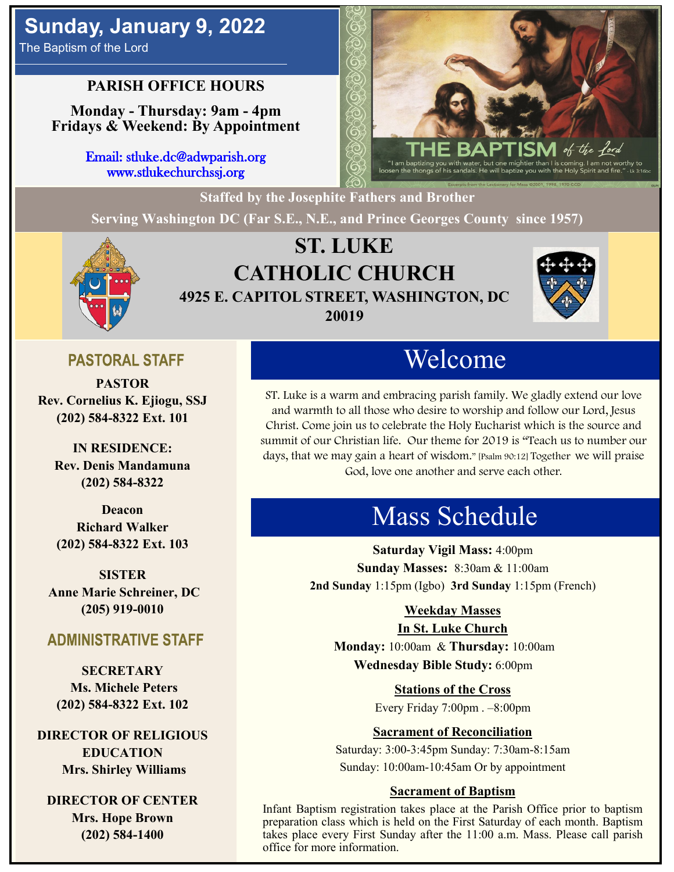# **Sunday, January 9, 2022**

The Baptism of the Lord

## **PARISH OFFICE HOURS**

**Monday - Thursday: 9am - 4pm Fridays & Weekend: By Appointment**

> Email: stluke.dc@adwparish.org www.stlukechurchssj.org

**Staffed by the Josephite Fathers and Brother**

**Serving Washington DC (Far S.E., N.E., and Prince Georges County since 1957)**



# **ST. LUKE CATHOLIC CHURCH 4925 E. CAPITOL STREET, WASHINGTON, DC 20019**



## **PASTORAL STAFF**

**PASTOR Rev. Cornelius K. Ejiogu, SSJ (202) 584-8322 Ext. 101**

**IN RESIDENCE: Rev. Denis Mandamuna (202) 584-8322** 

**Deacon Richard Walker (202) 584-8322 Ext. 103**

**SISTER Anne Marie Schreiner, DC (205) 919-0010**

### **ADMINISTRATIVE STAFF**

**SECRETARY Ms. Michele Peters (202) 584-8322 Ext. 102**

**DIRECTOR OF RELIGIOUS EDUCATION Mrs. Shirley Williams**

**DIRECTOR OF CENTER Mrs. Hope Brown (202) 584-1400**

# Welcome

ST. Luke is a warm and embracing parish family. We gladly extend our love and warmth to all those who desire to worship and follow our Lord, Jesus Christ. Come join us to celebrate the Holy Eucharist which is the source and summit of our Christian life. Our theme for 2019 is "Teach us to number our days, that we may gain a heart of wisdom." [Psalm 90:12] Together we will praise God, love one another and serve each other.

# Mass Schedule

**Saturday Vigil Mass:** 4:00pm **Sunday Masses:** 8:30am & 11:00am **2nd Sunday** 1:15pm (Igbo) **3rd Sunday** 1:15pm (French)

#### **Weekday Masses**

#### **In St. Luke Church**

**Monday:** 10:00am & **Thursday:** 10:00am **Wednesday Bible Study:** 6:00pm

**Stations of the Cross**

Every Friday 7:00pm . –8:00pm

#### **Sacrament of Reconciliation**

Saturday: 3:00-3:45pm Sunday: 7:30am-8:15am Sunday: 10:00am-10:45am Or by appointment

#### **Sacrament of Baptism**

Infant Baptism registration takes place at the Parish Office prior to baptism preparation class which is held on the First Saturday of each month. Baptism takes place every First Sunday after the 11:00 a.m. Mass. Please call parish office for more information.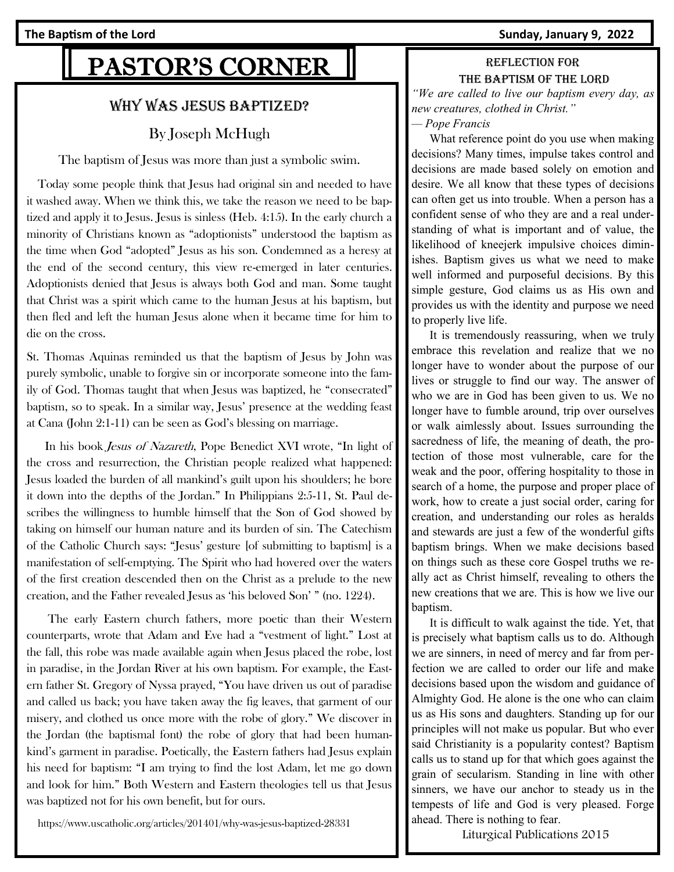#### **The Baptism of the Lord Sunday, January 9, 2022**

# PASTOR'S CORNER

#### Why was Jesus baptized?

#### By [Joseph McHugh](https://www.uscatholic.org/authors/joseph-mchugh-26965)

The baptism of Jesus was more than just a symbolic swim.

 Today some people think that Jesus had original sin and needed to have it washed away. When we think this, we take the reason we need to be baptized and apply it to Jesus. Jesus is sinless (Heb. 4:15). In the early church a minority of Christians known as "adoptionists" understood the baptism as the time when God "adopted" Jesus as his son. Condemned as a heresy at the end of the second century, this view re-emerged in later centuries. Adoptionists denied that Jesus is always both God and man. Some taught that Christ was a spirit which came to the human Jesus at his baptism, but then fled and left the human Jesus alone when it became time for him to die on the cross.

St. Thomas Aquinas reminded us that the baptism of Jesus by John was purely symbolic, unable to forgive sin or incorporate someone into the family of God. Thomas taught that when Jesus was baptized, he "consecrated" baptism, so to speak. In a similar way, Jesus' presence at the wedding feast at Cana (John 2:1-11) can be seen as God's blessing on marriage.

 In his book Jesus of Nazareth, Pope Benedict XVI wrote, "In light of the cross and resurrection, the Christian people realized what happened: Jesus loaded the burden of all mankind's guilt upon his shoulders; he bore it down into the depths of the Jordan." In Philippians 2:5-11, St. Paul describes the willingness to humble himself that the Son of God showed by taking on himself our human nature and its burden of sin. The Catechism of the Catholic Church says: "Jesus' gesture [of submitting to baptism] is a manifestation of self-emptying. The Spirit who had hovered over the waters of the first creation descended then on the Christ as a prelude to the new creation, and the Father revealed Jesus as 'his beloved Son' " (no. 1224).

 The early Eastern church fathers, more poetic than their Western counterparts, wrote that Adam and Eve had a "vestment of light." Lost at the fall, this robe was made available again when Jesus placed the robe, lost in paradise, in the Jordan River at his own baptism. For example, the Eastern father St. Gregory of Nyssa prayed, "You have driven us out of paradise and called us back; you have taken away the fig leaves, that garment of our misery, and clothed us once more with the robe of glory." We discover in the Jordan (the baptismal font) the robe of glory that had been humankind's garment in paradise. Poetically, the Eastern fathers had Jesus explain his need for baptism: "I am trying to find the lost Adam, let me go down and look for him." Both Western and Eastern theologies tell us that Jesus was baptized not for his own benefit, but for ours.

https://www.uscatholic.org/articles/201401/why-was-jesus-baptized-28331

#### Reflection for The baptism of the lord *"We are called to live our baptism every day, as*

*new creatures, clothed in Christ." — Pope Francis*

 What reference point do you use when making decisions? Many times, impulse takes control and decisions are made based solely on emotion and desire. We all know that these types of decisions can often get us into trouble. When a person has a confident sense of who they are and a real understanding of what is important and of value, the likelihood of kneejerk impulsive choices diminishes. Baptism gives us what we need to make well informed and purposeful decisions. By this simple gesture, God claims us as His own and provides us with the identity and purpose we need to properly live life.

 It is tremendously reassuring, when we truly embrace this revelation and realize that we no longer have to wonder about the purpose of our lives or struggle to find our way. The answer of who we are in God has been given to us. We no longer have to fumble around, trip over ourselves or walk aimlessly about. Issues surrounding the sacredness of life, the meaning of death, the protection of those most vulnerable, care for the weak and the poor, offering hospitality to those in search of a home, the purpose and proper place of work, how to create a just social order, caring for creation, and understanding our roles as heralds and stewards are just a few of the wonderful gifts baptism brings. When we make decisions based on things such as these core Gospel truths we really act as Christ himself, revealing to others the new creations that we are. This is how we live our baptism.

 It is difficult to walk against the tide. Yet, that is precisely what baptism calls us to do. Although we are sinners, in need of mercy and far from perfection we are called to order our life and make decisions based upon the wisdom and guidance of Almighty God. He alone is the one who can claim us as His sons and daughters. Standing up for our principles will not make us popular. But who ever said Christianity is a popularity contest? Baptism calls us to stand up for that which goes against the grain of secularism. Standing in line with other sinners, we have our anchor to steady us in the tempests of life and God is very pleased. Forge ahead. There is nothing to fear.

Liturgical Publications 2015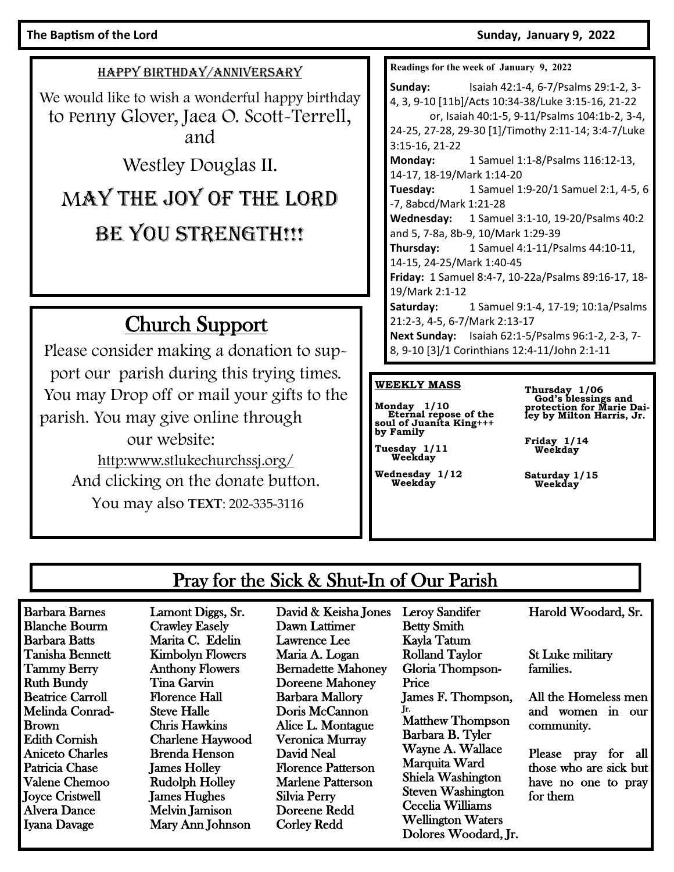#### The Baptism of the Lord **Sunday, January 9, 2022**

HAPPY BIRTHDAY/ANNIVERSARY

We would like to wish a wonderful happy birthday to Penny Glover, Jaea O. Scott-Terrell, and

Westley Douglas II.

# MAY THE JOY OF THE LORD

# BE YOU STRENGTH!!!

# Church Support

Please consider making a donation to support our parish during this trying times. You may Drop off or mail your gifts to the parish. You may give online through our website: [http:www.stlukechurchssj.org/](http://www.stlukechurchssj.org/) And clicking on the donate button. You may also **TEXT**: 202-335-3116

**Readings for the week of January 9, 2022 Sunday:** Isaiah 42:1-4, 6-7/Psalms 29:1-2, 3- 4, 3, 9-10 [11b]/Acts 10:34-38/Luke 3:15-16, 21-22 or, Isaiah 40:1-5, 9-11/Psalms 104:1b-2, 3-4, 24-25, 27-28, 29-30 [1]/Timothy 2:11-14; 3:4-7/Luke 3:15-16, 21-22 **Monday:** 1 Samuel 1:1-8/Psalms 116:12-13, 14-17, 18-19/Mark 1:14-20 **Tuesday:** 1 Samuel 1:9-20/1 Samuel 2:1, 4-5, 6 -7, 8abcd/Mark 1:21-28 **Wednesday:** 1 Samuel 3:1-10, 19-20/Psalms 40:2 and 5, 7-8a, 8b-9, 10/Mark 1:29-39 **Thursday:** 1 Samuel 4:1-11/Psalms 44:10-11, 14-15, 24-25/Mark 1:40-45 **Friday:** 1 Samuel 8:4-7, 10-22a/Psalms 89:16-17, 18- 19/Mark 2:1-12 **Saturday:** 1 Samuel 9:1-4, 17-19; 10:1a/Psalms 21:2-3, 4-5, 6-7/Mark 2:13-17 **Next Sunday:** Isaiah 62:1-5/Psalms 96:1-2, 2-3, 7- 8, 9-10 [3]/1 Corinthians 12:4-11/John 2:1-11

#### **WEEKLY MASS**

**Monday 1/10 Eternal repose of the soul of Juanita King+++ by Family** 

**Tuesday 1/11 Weekday**

**Wednesday 1/12 Weekday**

**Thursday 1/06 God's blessings and protection for Marie Dai-ley by Milton Harris, Jr.** 

**Friday 1/14 Weekday**

**Saturday 1/15 Weekday**

## Pray for the Sick & Shut-In of Our Parish

Barbara Barnes Blanche Bourm Barbara Batts Tanisha Bennett Tammy Berry Ruth Bundy Beatrice Carroll Melinda Conrad-Brown Edith Cornish Aniceto Charles Patricia Chase Valene Chemoo Joyce Cristwell Alvera Dance Iyana Davage

Lamont Diggs, Sr. Crawley Easely Marita C. Edelin Kimbolyn Flowers Anthony Flowers Tina Garvin Florence Hall Steve Halle Chris Hawkins Charlene Haywood Brenda Henson James Holley Rudolph Holley James Hughes Melvin Jamison Mary Ann Johnson

David & Keisha Jones Dawn Lattimer Lawrence Lee Maria A. Logan Bernadette Mahoney Doreene Mahoney Barbara Mallory Doris McCannon Alice L. Montague Veronica Murray David Neal Florence Patterson Marlene Patterson Silvia Perry Doreene Redd Corley Redd

Betty Smith Kayla Tatum Rolland Taylor Gloria Thompson-Price James F. Thompson, Jr. Matthew Thompson Barbara B. Tyler Wayne A. Wallace Marquita Ward Shiela Washington Steven Washington Cecelia Williams Wellington Waters Dolores Woodard, Jr.

Leroy Sandifer

Harold Woodard, Sr.

St Luke military families.

All the Homeless men and women in our community.

Please pray for all those who are sick but have no one to pray for them